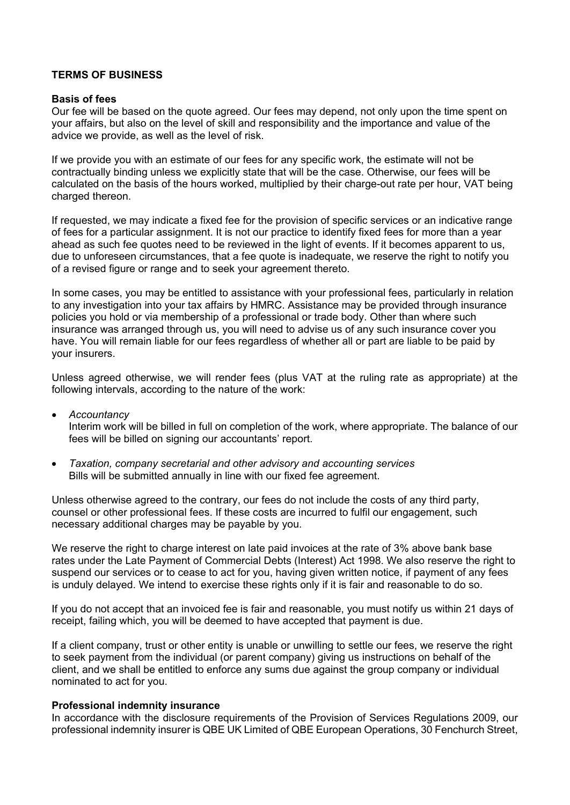## **TERMS OF BUSINESS**

### **Basis of fees**

Our fee will be based on the quote agreed. Our fees may depend, not only upon the time spent on your affairs, but also on the level of skill and responsibility and the importance and value of the advice we provide, as well as the level of risk.

If we provide you with an estimate of our fees for any specific work, the estimate will not be contractually binding unless we explicitly state that will be the case. Otherwise, our fees will be calculated on the basis of the hours worked, multiplied by their charge-out rate per hour, VAT being charged thereon.

If requested, we may indicate a fixed fee for the provision of specific services or an indicative range of fees for a particular assignment. It is not our practice to identify fixed fees for more than a year ahead as such fee quotes need to be reviewed in the light of events. If it becomes apparent to us, due to unforeseen circumstances, that a fee quote is inadequate, we reserve the right to notify you of a revised figure or range and to seek your agreement thereto.

In some cases, you may be entitled to assistance with your professional fees, particularly in relation to any investigation into your tax affairs by HMRC. Assistance may be provided through insurance policies you hold or via membership of a professional or trade body. Other than where such insurance was arranged through us, you will need to advise us of any such insurance cover you have. You will remain liable for our fees regardless of whether all or part are liable to be paid by your insurers.

Unless agreed otherwise, we will render fees (plus VAT at the ruling rate as appropriate) at the following intervals, according to the nature of the work:

- *Accountancy* Interim work will be billed in full on completion of the work, where appropriate. The balance of our fees will be billed on signing our accountants' report.
- *Taxation, company secretarial and other advisory and accounting services* Bills will be submitted annually in line with our fixed fee agreement.

Unless otherwise agreed to the contrary, our fees do not include the costs of any third party, counsel or other professional fees. If these costs are incurred to fulfil our engagement, such necessary additional charges may be payable by you.

We reserve the right to charge interest on late paid invoices at the rate of 3% above bank base rates under the Late Payment of Commercial Debts (Interest) Act 1998. We also reserve the right to suspend our services or to cease to act for you, having given written notice, if payment of any fees is unduly delayed. We intend to exercise these rights only if it is fair and reasonable to do so.

If you do not accept that an invoiced fee is fair and reasonable, you must notify us within 21 days of receipt, failing which, you will be deemed to have accepted that payment is due.

If a client company, trust or other entity is unable or unwilling to settle our fees, we reserve the right to seek payment from the individual (or parent company) giving us instructions on behalf of the client, and we shall be entitled to enforce any sums due against the group company or individual nominated to act for you.

### **Professional indemnity insurance**

In accordance with the disclosure requirements of the Provision of Services Regulations 2009, our professional indemnity insurer is QBE UK Limited of QBE European Operations, 30 Fenchurch Street,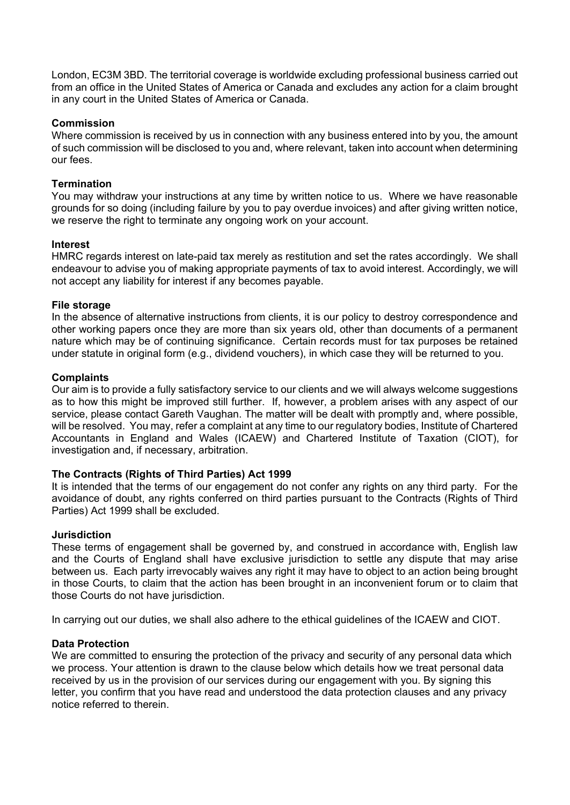London, EC3M 3BD. The territorial coverage is worldwide excluding professional business carried out from an office in the United States of America or Canada and excludes any action for a claim brought in any court in the United States of America or Canada.

# **Commission**

Where commission is received by us in connection with any business entered into by you, the amount of such commission will be disclosed to you and, where relevant, taken into account when determining our fees.

# **Termination**

You may withdraw your instructions at any time by written notice to us. Where we have reasonable grounds for so doing (including failure by you to pay overdue invoices) and after giving written notice, we reserve the right to terminate any ongoing work on your account.

## **Interest**

HMRC regards interest on late-paid tax merely as restitution and set the rates accordingly. We shall endeavour to advise you of making appropriate payments of tax to avoid interest. Accordingly, we will not accept any liability for interest if any becomes payable.

## **File storage**

In the absence of alternative instructions from clients, it is our policy to destroy correspondence and other working papers once they are more than six years old, other than documents of a permanent nature which may be of continuing significance. Certain records must for tax purposes be retained under statute in original form (e.g., dividend vouchers), in which case they will be returned to you.

## **Complaints**

Our aim is to provide a fully satisfactory service to our clients and we will always welcome suggestions as to how this might be improved still further. If, however, a problem arises with any aspect of our service, please contact Gareth Vaughan. The matter will be dealt with promptly and, where possible, will be resolved. You may, refer a complaint at any time to our regulatory bodies, Institute of Chartered Accountants in England and Wales (ICAEW) and Chartered Institute of Taxation (CIOT), for investigation and, if necessary, arbitration.

### **The Contracts (Rights of Third Parties) Act 1999**

It is intended that the terms of our engagement do not confer any rights on any third party. For the avoidance of doubt, any rights conferred on third parties pursuant to the Contracts (Rights of Third Parties) Act 1999 shall be excluded.

### **Jurisdiction**

These terms of engagement shall be governed by, and construed in accordance with, English law and the Courts of England shall have exclusive jurisdiction to settle any dispute that may arise between us. Each party irrevocably waives any right it may have to object to an action being brought in those Courts, to claim that the action has been brought in an inconvenient forum or to claim that those Courts do not have jurisdiction.

In carrying out our duties, we shall also adhere to the ethical guidelines of the ICAEW and CIOT.

### **Data Protection**

We are committed to ensuring the protection of the privacy and security of any personal data which we process. Your attention is drawn to the clause below which details how we treat personal data received by us in the provision of our services during our engagement with you. By signing this letter, you confirm that you have read and understood the data protection clauses and any privacy notice referred to therein.